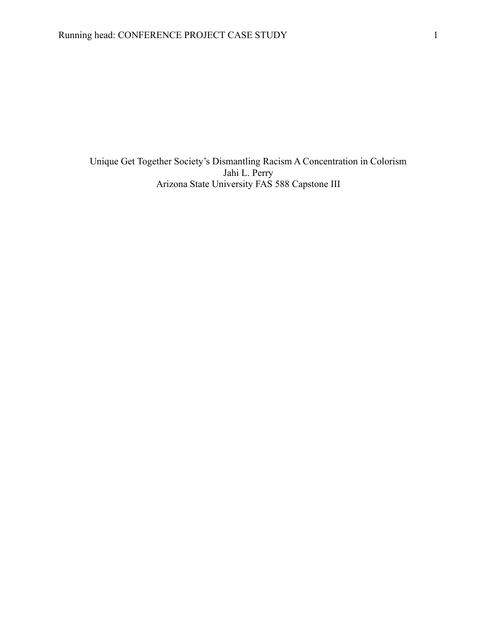Unique Get Together Society's Dismantling Racism A Concentration in Colorism Jahi L. Perry Arizona State University FAS 588 Capstone III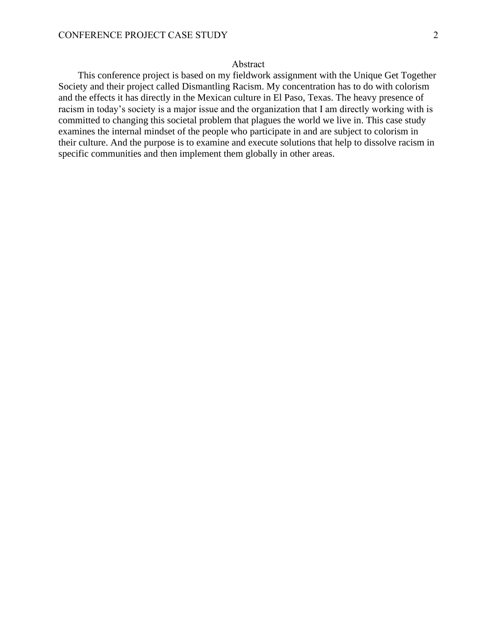## Abstract

 This conference project is based on my fieldwork assignment with the Unique Get Together Society and their project called Dismantling Racism. My concentration has to do with colorism and the effects it has directly in the Mexican culture in El Paso, Texas. The heavy presence of racism in today's society is a major issue and the organization that I am directly working with is committed to changing this societal problem that plagues the world we live in. This case study examines the internal mindset of the people who participate in and are subject to colorism in their culture. And the purpose is to examine and execute solutions that help to dissolve racism in specific communities and then implement them globally in other areas.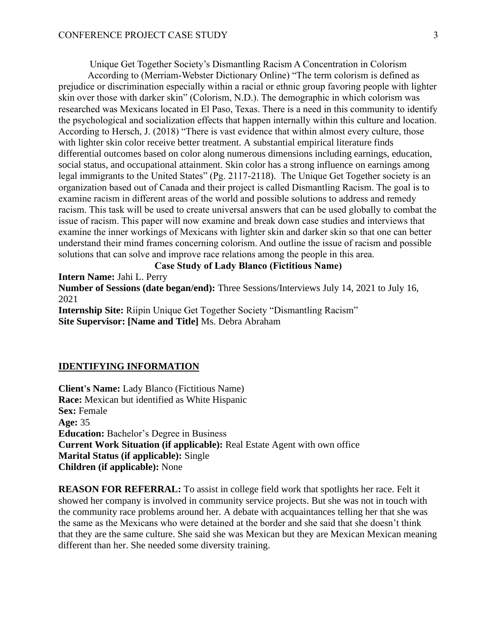Unique Get Together Society's Dismantling Racism A Concentration in Colorism

According to (Merriam-Webster Dictionary Online) "The term colorism is defined as prejudice or discrimination especially within a racial or ethnic group favoring people with lighter skin over those with darker skin" (Colorism, N.D.). The demographic in which colorism was researched was Mexicans located in El Paso, Texas. There is a need in this community to identify the psychological and socialization effects that happen internally within this culture and location. According to Hersch, J. (2018) "There is vast evidence that within almost every culture, those with lighter skin color receive better treatment. A substantial empirical literature finds differential outcomes based on color along numerous dimensions including earnings, education, social status, and occupational attainment. Skin color has a strong influence on earnings among legal immigrants to the United States" (Pg. 2117-2118). The Unique Get Together society is an organization based out of Canada and their project is called Dismantling Racism. The goal is to examine racism in different areas of the world and possible solutions to address and remedy racism. This task will be used to create universal answers that can be used globally to combat the issue of racism. This paper will now examine and break down case studies and interviews that examine the inner workings of Mexicans with lighter skin and darker skin so that one can better understand their mind frames concerning colorism. And outline the issue of racism and possible solutions that can solve and improve race relations among the people in this area.

#### **Case Study of Lady Blanco (Fictitious Name)**

**Intern Name:** Jahi L. Perry

**Number of Sessions (date began/end):** Three Sessions/Interviews July 14, 2021 to July 16, 2021

**Internship Site:** Riipin Unique Get Together Society "Dismantling Racism" **Site Supervisor: [Name and Title]** Ms. Debra Abraham

#### **IDENTIFYING INFORMATION**

**Client's Name:** Lady Blanco (Fictitious Name) **Race:** Mexican but identified as White Hispanic **Sex:** Female **Age:** 35 **Education:** Bachelor's Degree in Business **Current Work Situation (if applicable):** Real Estate Agent with own office **Marital Status (if applicable):** Single **Children (if applicable):** None

**REASON FOR REFERRAL:** To assist in college field work that spotlights her race. Felt it showed her company is involved in community service projects. But she was not in touch with the community race problems around her. A debate with acquaintances telling her that she was the same as the Mexicans who were detained at the border and she said that she doesn't think that they are the same culture. She said she was Mexican but they are Mexican Mexican meaning different than her. She needed some diversity training.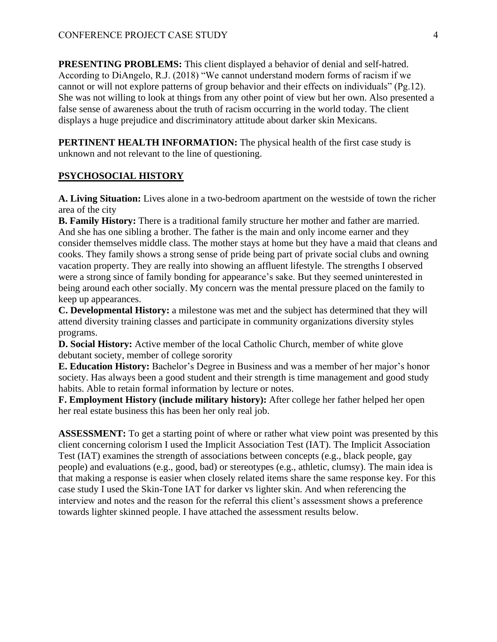**PRESENTING PROBLEMS:** This client displayed a behavior of denial and self-hatred. According to DiAngelo, R.J. (2018) "We cannot understand modern forms of racism if we cannot or will not explore patterns of group behavior and their effects on individuals" (Pg.12). She was not willing to look at things from any other point of view but her own. Also presented a false sense of awareness about the truth of racism occurring in the world today. The client displays a huge prejudice and discriminatory attitude about darker skin Mexicans.

**PERTINENT HEALTH INFORMATION:** The physical health of the first case study is unknown and not relevant to the line of questioning.

## **PSYCHOSOCIAL HISTORY**

**A. Living Situation:** Lives alone in a two-bedroom apartment on the westside of town the richer area of the city

**B. Family History:** There is a traditional family structure her mother and father are married. And she has one sibling a brother. The father is the main and only income earner and they consider themselves middle class. The mother stays at home but they have a maid that cleans and cooks. They family shows a strong sense of pride being part of private social clubs and owning vacation property. They are really into showing an affluent lifestyle. The strengths I observed were a strong since of family bonding for appearance's sake. But they seemed uninterested in being around each other socially. My concern was the mental pressure placed on the family to keep up appearances.

**C. Developmental History:** a milestone was met and the subject has determined that they will attend diversity training classes and participate in community organizations diversity styles programs.

**D. Social History:** Active member of the local Catholic Church, member of white glove debutant society, member of college sorority

**E. Education History:** Bachelor's Degree in Business and was a member of her major's honor society. Has always been a good student and their strength is time management and good study habits. Able to retain formal information by lecture or notes.

**F. Employment History (include military history):** After college her father helped her open her real estate business this has been her only real job.

**ASSESSMENT:** To get a starting point of where or rather what view point was presented by this client concerning colorism I used the Implicit Association Test (IAT). The Implicit Association Test (IAT) examines the strength of associations between concepts (e.g., black people, gay people) and evaluations (e.g., good, bad) or stereotypes (e.g., athletic, clumsy). The main idea is that making a response is easier when closely related items share the same response key. For this case study I used the Skin-Tone IAT for darker vs lighter skin. And when referencing the interview and notes and the reason for the referral this client's assessment shows a preference towards lighter skinned people. I have attached the assessment results below.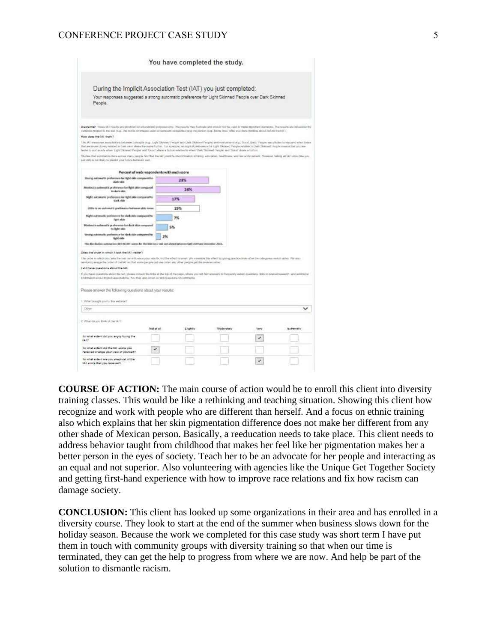### CONFERENCE PROJECT CASE STUDY 5

|                                                                                                                                                                                                                                                                                                                                                                                                                                                                                                                                                  | You have completed the study. |                   |      |            |
|--------------------------------------------------------------------------------------------------------------------------------------------------------------------------------------------------------------------------------------------------------------------------------------------------------------------------------------------------------------------------------------------------------------------------------------------------------------------------------------------------------------------------------------------------|-------------------------------|-------------------|------|------------|
| During the Implicit Association Test (IAT) you just completed:                                                                                                                                                                                                                                                                                                                                                                                                                                                                                   |                               |                   |      |            |
| Your responses suggested a strong automatic preference for Light Skinned People over Dark Skinned<br>People.                                                                                                                                                                                                                                                                                                                                                                                                                                     |                               |                   |      |            |
| Dischermer: These IAT results are provided for educational purposes only. The needle may fluctuate and about once to make important decisions. The needlo are influenced by<br>cartables related to the bed (e.g., the exets or images used to represent calegories) and the person (e.g., being final, what you were thinking about behine the IAT).                                                                                                                                                                                            |                               |                   |      |            |
| How does the IAI work?<br>The IAT measures associations between concepts (e.g., Light Stones) People and Dark Stonned People) and evaluations (e.g., Good, Bed). People are culclen to respond when flems<br>Iftal any more closely related to their mind share the same buildri. For exemple, an implicit preference for Light Skinned People relative to Dark Skinned People means that you are<br>Tasker to sort words when 'Light Skinned People' and 'Good' shaw a button relative to when 'Dark Skinned People' and 'Good' share a button. |                               |                   |      |            |
| Studies thai summative data across many people lind that the IAI predicts discrimination in fating, education, healthcam, and law antonomiest. However, talking an IAI once (this you<br>just did) by not likely to predict your future behavior usef.                                                                                                                                                                                                                                                                                           |                               |                   |      |            |
| Percent of web respondents with each score                                                                                                                                                                                                                                                                                                                                                                                                                                                                                                       |                               |                   |      |            |
| Strong automatic proference for light skin compared to<br>dark skin                                                                                                                                                                                                                                                                                                                                                                                                                                                                              | 23%                           |                   |      |            |
| Modorato automatic proference for light skin compared<br>to dark skin                                                                                                                                                                                                                                                                                                                                                                                                                                                                            | 28%                           |                   |      |            |
| Slight automatic preference for light skin compared to<br>dark skin                                                                                                                                                                                                                                                                                                                                                                                                                                                                              | 17%                           |                   |      |            |
| Little to no automatic preference between skin tones.                                                                                                                                                                                                                                                                                                                                                                                                                                                                                            | 19%                           |                   |      |            |
| slight automatic preference for shek skin compared to<br>Helvit doin                                                                                                                                                                                                                                                                                                                                                                                                                                                                             | 7%                            |                   |      |            |
| Moderate automatic preference for dark skin compared<br>to light skin                                                                                                                                                                                                                                                                                                                                                                                                                                                                            | 5%                            |                   |      |            |
| Shong automatic preference for dark skin compared to<br>light skin                                                                                                                                                                                                                                                                                                                                                                                                                                                                               | 2%                            |                   |      |            |
| This distribution summarizes 854,453887 search for the Skin-tena task completed between April 1004 and December 2015.                                                                                                                                                                                                                                                                                                                                                                                                                            |                               |                   |      |            |
| Does the order in which I took the IAT matter?                                                                                                                                                                                                                                                                                                                                                                                                                                                                                                   |                               |                   |      |            |
| The order in effects you below the lead can influence your reachs, but the effect is small. We minimize, this effect by giving practice trials after the categories awilch isbles. We also<br>mediornly assign the order of the IAI so that some people get one order and other people get the reverse order.                                                                                                                                                                                                                                    |                               |                   |      |            |
| I still have questions about the IAI.<br>If you have speaking about the IAT, please corput the Inho at the lop of the page, where you will find answers to frequently asked questions. Index to misled research, and additional                                                                                                                                                                                                                                                                                                                  |                               |                   |      |            |
| information about implicit associations. You may also email us with questions or comments.                                                                                                                                                                                                                                                                                                                                                                                                                                                       |                               |                   |      |            |
| Please answer the following questions about your results:                                                                                                                                                                                                                                                                                                                                                                                                                                                                                        |                               |                   |      |            |
| 1. What brought you to this website?                                                                                                                                                                                                                                                                                                                                                                                                                                                                                                             |                               |                   |      |            |
| Citizen                                                                                                                                                                                                                                                                                                                                                                                                                                                                                                                                          |                               |                   |      | v          |
| 2. What do you think of the IAT?<br>Not at all                                                                                                                                                                                                                                                                                                                                                                                                                                                                                                   | Slightly                      | <b>Modersbelv</b> | Very | bulnerally |
| to what extent did you enjoy trying the<br><b>BA12</b>                                                                                                                                                                                                                                                                                                                                                                                                                                                                                           |                               |                   | ✓    |            |
| to what extent did the IAI acore you<br>$\checkmark$<br>received change your view of yourself?                                                                                                                                                                                                                                                                                                                                                                                                                                                   |                               |                   |      |            |
| lo what extent are you alwatical of the<br>IA1 accre that you received?                                                                                                                                                                                                                                                                                                                                                                                                                                                                          |                               |                   | ✓    |            |

**COURSE OF ACTION:** The main course of action would be to enroll this client into diversity training classes. This would be like a rethinking and teaching situation. Showing this client how recognize and work with people who are different than herself. And a focus on ethnic training also which explains that her skin pigmentation difference does not make her different from any other shade of Mexican person. Basically, a reeducation needs to take place. This client needs to address behavior taught from childhood that makes her feel like her pigmentation makes her a better person in the eyes of society. Teach her to be an advocate for her people and interacting as an equal and not superior. Also volunteering with agencies like the Unique Get Together Society and getting first-hand experience with how to improve race relations and fix how racism can damage society.

**CONCLUSION:** This client has looked up some organizations in their area and has enrolled in a diversity course. They look to start at the end of the summer when business slows down for the holiday season. Because the work we completed for this case study was short term I have put them in touch with community groups with diversity training so that when our time is terminated, they can get the help to progress from where we are now. And help be part of the solution to dismantle racism.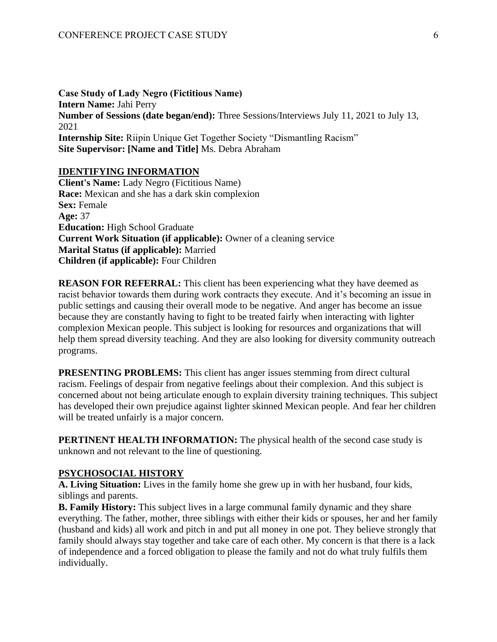**Case Study of Lady Negro (Fictitious Name) Intern Name:** Jahi Perry **Number of Sessions (date began/end):** Three Sessions/Interviews July 11, 2021 to July 13, 2021 **Internship Site:** Riipin Unique Get Together Society "Dismantling Racism" **Site Supervisor: [Name and Title]** Ms. Debra Abraham

#### **IDENTIFYING INFORMATION**

**Client's Name:** Lady Negro (Fictitious Name) **Race:** Mexican and she has a dark skin complexion **Sex:** Female **Age:** 37 **Education:** High School Graduate **Current Work Situation (if applicable):** Owner of a cleaning service **Marital Status (if applicable):** Married **Children (if applicable):** Four Children

**REASON FOR REFERRAL:** This client has been experiencing what they have deemed as racist behavior towards them during work contracts they execute. And it's becoming an issue in public settings and causing their overall mode to be negative. And anger has become an issue because they are constantly having to fight to be treated fairly when interacting with lighter complexion Mexican people. This subject is looking for resources and organizations that will help them spread diversity teaching. And they are also looking for diversity community outreach programs.

**PRESENTING PROBLEMS:** This client has anger issues stemming from direct cultural racism. Feelings of despair from negative feelings about their complexion. And this subject is concerned about not being articulate enough to explain diversity training techniques. This subject has developed their own prejudice against lighter skinned Mexican people. And fear her children will be treated unfairly is a major concern.

**PERTINENT HEALTH INFORMATION:** The physical health of the second case study is unknown and not relevant to the line of questioning.

#### **PSYCHOSOCIAL HISTORY**

**A. Living Situation:** Lives in the family home she grew up in with her husband, four kids, siblings and parents.

**B. Family History:** This subject lives in a large communal family dynamic and they share everything. The father, mother, three siblings with either their kids or spouses, her and her family (husband and kids) all work and pitch in and put all money in one pot. They believe strongly that family should always stay together and take care of each other. My concern is that there is a lack of independence and a forced obligation to please the family and not do what truly fulfils them individually.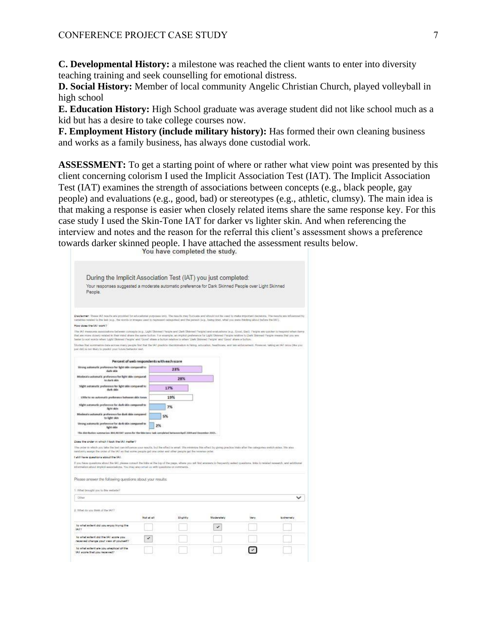**C. Developmental History:** a milestone was reached the client wants to enter into diversity teaching training and seek counselling for emotional distress.

**D. Social History:** Member of local community Angelic Christian Church, played volleyball in high school

**E. Education History:** High School graduate was average student did not like school much as a kid but has a desire to take college courses now.

**F. Employment History (include military history):** Has formed their own cleaning business and works as a family business, has always done custodial work.

**ASSESSMENT:** To get a starting point of where or rather what view point was presented by this client concerning colorism I used the Implicit Association Test (IAT). The Implicit Association Test (IAT) examines the strength of associations between concepts (e.g., black people, gay people) and evaluations (e.g., good, bad) or stereotypes (e.g., athletic, clumsy). The main idea is that making a response is easier when closely related items share the same response key. For this case study I used the Skin-Tone IAT for darker vs lighter skin. And when referencing the interview and notes and the reason for the referral this client's assessment shows a preference towards darker skinned people. I have attached the assessment results below.

| During the Implicit Association Test (IAT) you just completed:                                                                                                                                                                                                                                                                                                                                                                                                                                                        |            |          |              |      |            |
|-----------------------------------------------------------------------------------------------------------------------------------------------------------------------------------------------------------------------------------------------------------------------------------------------------------------------------------------------------------------------------------------------------------------------------------------------------------------------------------------------------------------------|------------|----------|--------------|------|------------|
| Your responses suggested a moderate automatic preference for Dark Skinned People over Light Skinned<br>People.                                                                                                                                                                                                                                                                                                                                                                                                        |            |          |              |      |            |
| Dischemer: These IAT reactix ani provided for educational porposes pris. The reactix may fluctuate and should not be used to make important decisions. The reactix are infoarced by<br>statistics related to the leat (e.g., the ecroix or images used to represent calegories) and the penson (e.g., being tired, what you were thinking about below thin [A]].                                                                                                                                                      |            |          |              |      |            |
| How dow the IAI work?                                                                                                                                                                                                                                                                                                                                                                                                                                                                                                 |            |          |              |      |            |
| The IA1 museums associations between concepts (e.g., Light Stenned People and Dark Stenned People) and evaluations (e.g., Good, Bad). People are quicket to respond when tierns<br>that are more closely related in their mod ahere the serve buiton. For exemple, an implicit preference for Light Sterred People relative to Dark Sterred People means that you are<br>faster to sort words when 'Light Strened People' and 'Good' share a buiton relative to when 'Dark Skinned People' and 'Good' share a buiton. |            |          |              |      |            |
| Studies that summarize data across many people find that the IAT predicts discrimination in himp, education, healthcans, and law enforcement. However, taking an IAT cross (the you<br>just del) is not thely to predict your future behavior well.                                                                                                                                                                                                                                                                   |            |          |              |      |            |
| Percent of web respondents with each score                                                                                                                                                                                                                                                                                                                                                                                                                                                                            |            |          |              |      |            |
| Strong automatic proference for light skin compared to<br>date skie                                                                                                                                                                                                                                                                                                                                                                                                                                                   |            | 23%      |              |      |            |
| Moderate autoreatic preference for light skin compared.<br>to dark skin                                                                                                                                                                                                                                                                                                                                                                                                                                               |            | 28%      |              |      |            |
| Slight automatic preference for light skin compared to<br>dark skin                                                                                                                                                                                                                                                                                                                                                                                                                                                   |            | 17%      |              |      |            |
| Little to so asternatic preference between skin tones.                                                                                                                                                                                                                                                                                                                                                                                                                                                                |            | 19%      |              |      |            |
| Slight automatic preference for dark skin compared to<br><b>Helvi</b> idein                                                                                                                                                                                                                                                                                                                                                                                                                                           |            | 7%       |              |      |            |
| Moderate automatic preference for dark skin compared.<br>to light skin                                                                                                                                                                                                                                                                                                                                                                                                                                                | 5%         |          |              |      |            |
| Strong automatic preference for dark skin compared to<br>light skin                                                                                                                                                                                                                                                                                                                                                                                                                                                   | 2%         |          |              |      |            |
| This distribution summerize: \$64,463687 scores for the Skin-Lose task conspirited between April 2004 and December 2015.                                                                                                                                                                                                                                                                                                                                                                                              |            |          |              |      |            |
| Does the order in which I took the IAI mether?                                                                                                                                                                                                                                                                                                                                                                                                                                                                        |            |          |              |      |            |
| The order in which you take the last can influence your reachs, but the effect is arrall. We minimize this effect by giving practice Irisks after the callegaries switch ables. We also<br>tendomly assign the order of the IA3 so that some people get une order and other people get the tenerae order.                                                                                                                                                                                                             |            |          |              |      |            |
| I still have questions about the IAI.                                                                                                                                                                                                                                                                                                                                                                                                                                                                                 |            |          |              |      |            |
| If you have questions about the IAT, please consult the links at the log of the pape, where you will find anawaricio frequently subsdiguedoms. Infor to mission research, and additional<br>Information about implicit associations. You may also small us with questions or comments.                                                                                                                                                                                                                                |            |          |              |      |            |
| Please answer the following questions about your results:                                                                                                                                                                                                                                                                                                                                                                                                                                                             |            |          |              |      |            |
| 1. What broughl you to the ensbate?                                                                                                                                                                                                                                                                                                                                                                                                                                                                                   |            |          |              |      |            |
| <b>Tillian</b>                                                                                                                                                                                                                                                                                                                                                                                                                                                                                                        |            |          |              |      |            |
|                                                                                                                                                                                                                                                                                                                                                                                                                                                                                                                       |            |          |              |      |            |
| 2. What do you frink of the IAT?                                                                                                                                                                                                                                                                                                                                                                                                                                                                                      | Not at all | Slightly | Micchensbehr | Very | Extremally |
| To what extent did you ergoy trying the<br>84.17                                                                                                                                                                                                                                                                                                                                                                                                                                                                      |            |          | ✔            |      |            |
| To what extent did the IAI score you.<br>received change your view of yourself?                                                                                                                                                                                                                                                                                                                                                                                                                                       | ✔          |          |              |      |            |
| to what extent are you akeptical of the<br>IAI score that you received?                                                                                                                                                                                                                                                                                                                                                                                                                                               |            |          |              |      |            |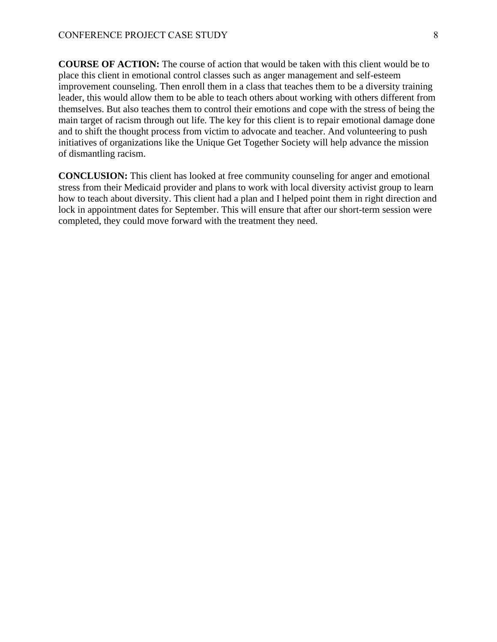**COURSE OF ACTION:** The course of action that would be taken with this client would be to place this client in emotional control classes such as anger management and self-esteem improvement counseling. Then enroll them in a class that teaches them to be a diversity training leader, this would allow them to be able to teach others about working with others different from themselves. But also teaches them to control their emotions and cope with the stress of being the main target of racism through out life. The key for this client is to repair emotional damage done and to shift the thought process from victim to advocate and teacher. And volunteering to push initiatives of organizations like the Unique Get Together Society will help advance the mission of dismantling racism.

**CONCLUSION:** This client has looked at free community counseling for anger and emotional stress from their Medicaid provider and plans to work with local diversity activist group to learn how to teach about diversity. This client had a plan and I helped point them in right direction and lock in appointment dates for September. This will ensure that after our short-term session were completed, they could move forward with the treatment they need.